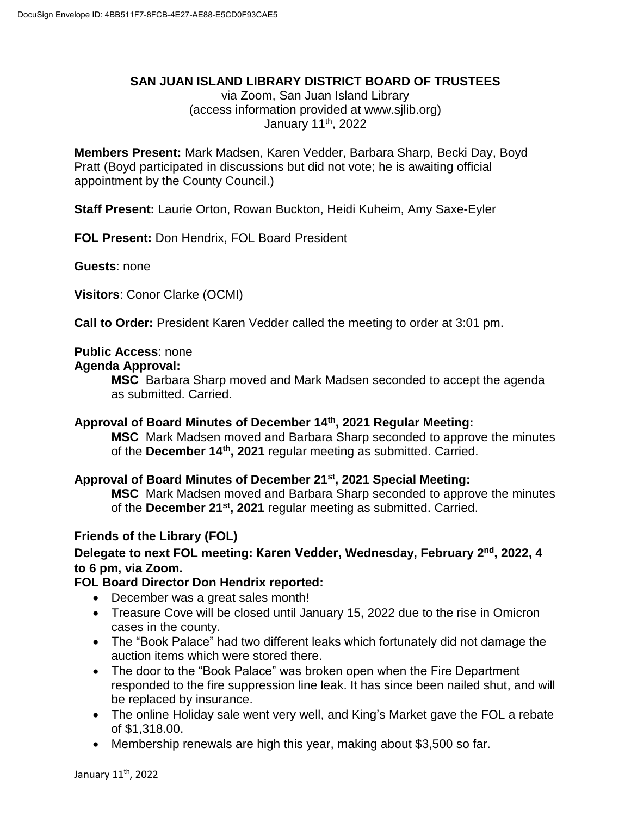#### **SAN JUAN ISLAND LIBRARY DISTRICT BOARD OF TRUSTEES**

via Zoom, San Juan Island Library (access information provided at www.sjlib.org) January 11<sup>th</sup>, 2022

**Members Present:** Mark Madsen, Karen Vedder, Barbara Sharp, Becki Day, Boyd Pratt (Boyd participated in discussions but did not vote; he is awaiting official appointment by the County Council.)

**Staff Present:** Laurie Orton, Rowan Buckton, Heidi Kuheim, Amy Saxe-Eyler

**FOL Present:** Don Hendrix, FOL Board President

**Guests**: none

**Visitors**: Conor Clarke (OCMI)

**Call to Order:** President Karen Vedder called the meeting to order at 3:01 pm.

## **Public Access**: none

#### **Agenda Approval:**

**MSC** Barbara Sharp moved and Mark Madsen seconded to accept the agenda as submitted. Carried.

## **Approval of Board Minutes of December 14 th, 2021 Regular Meeting:**

**MSC** Mark Madsen moved and Barbara Sharp seconded to approve the minutes of the **December 14th, 2021** regular meeting as submitted. Carried.

## **Approval of Board Minutes of December 21st, 2021 Special Meeting:**

**MSC** Mark Madsen moved and Barbara Sharp seconded to approve the minutes of the **December 21st, 2021** regular meeting as submitted. Carried.

## **Friends of the Library (FOL)**

# **Delegate to next FOL meeting: Karen Vedder, Wednesday, February 2 nd , 2022, 4 to 6 pm, via Zoom.**

## **FOL Board Director Don Hendrix reported:**

- December was a great sales month!
- Treasure Cove will be closed until January 15, 2022 due to the rise in Omicron cases in the county.
- The "Book Palace" had two different leaks which fortunately did not damage the auction items which were stored there.
- The door to the "Book Palace" was broken open when the Fire Department responded to the fire suppression line leak. It has since been nailed shut, and will be replaced by insurance.
- The online Holiday sale went very well, and King's Market gave the FOL a rebate of \$1,318.00.
- Membership renewals are high this year, making about \$3,500 so far.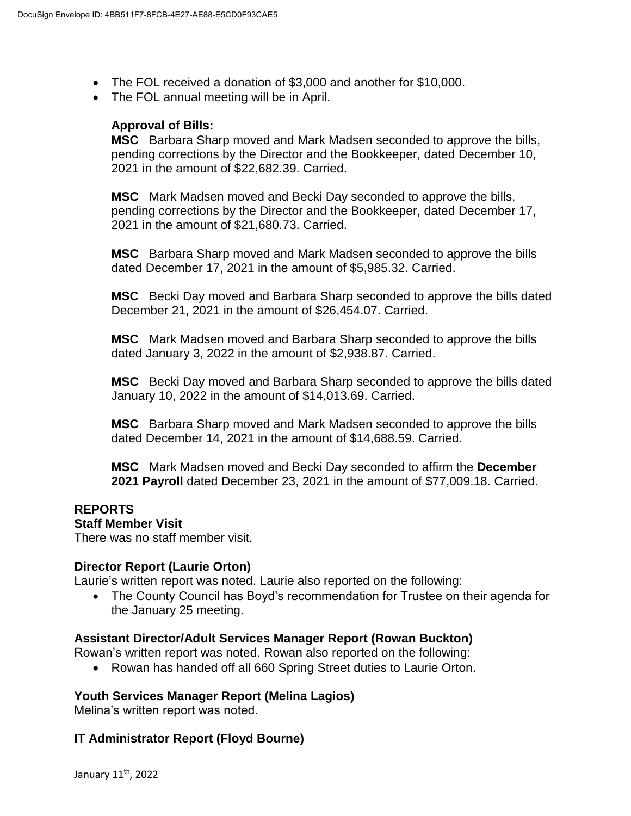- The FOL received a donation of \$3,000 and another for \$10,000.
- The FOL annual meeting will be in April.

#### **Approval of Bills:**

**MSC** Barbara Sharp moved and Mark Madsen seconded to approve the bills, pending corrections by the Director and the Bookkeeper, dated December 10, 2021 in the amount of \$22,682.39. Carried.

**MSC** Mark Madsen moved and Becki Day seconded to approve the bills, pending corrections by the Director and the Bookkeeper, dated December 17, 2021 in the amount of \$21,680.73. Carried.

**MSC** Barbara Sharp moved and Mark Madsen seconded to approve the bills dated December 17, 2021 in the amount of \$5,985.32. Carried.

**MSC** Becki Day moved and Barbara Sharp seconded to approve the bills dated December 21, 2021 in the amount of \$26,454.07. Carried.

**MSC** Mark Madsen moved and Barbara Sharp seconded to approve the bills dated January 3, 2022 in the amount of \$2,938.87. Carried.

**MSC** Becki Day moved and Barbara Sharp seconded to approve the bills dated January 10, 2022 in the amount of \$14,013.69. Carried.

**MSC** Barbara Sharp moved and Mark Madsen seconded to approve the bills dated December 14, 2021 in the amount of \$14,688.59. Carried.

**MSC** Mark Madsen moved and Becki Day seconded to affirm the **December 2021 Payroll** dated December 23, 2021 in the amount of \$77,009.18. Carried.

#### **REPORTS Staff Member Visit**

There was no staff member visit.

## **Director Report (Laurie Orton)**

Laurie's written report was noted. Laurie also reported on the following:

 The County Council has Boyd's recommendation for Trustee on their agenda for the January 25 meeting.

#### **Assistant Director/Adult Services Manager Report (Rowan Buckton)**

Rowan's written report was noted. Rowan also reported on the following:

• Rowan has handed off all 660 Spring Street duties to Laurie Orton.

## **Youth Services Manager Report (Melina Lagios)**

Melina's written report was noted.

## **IT Administrator Report (Floyd Bourne)**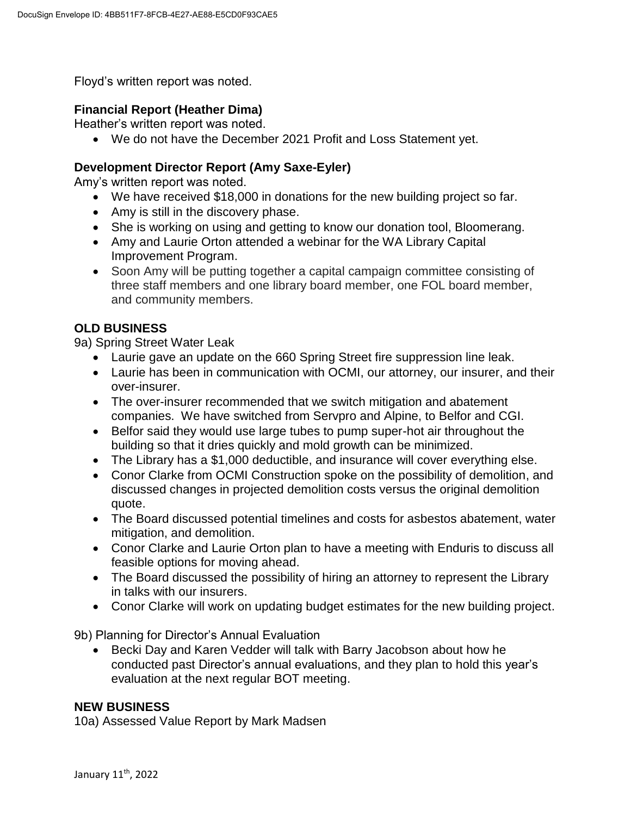Floyd's written report was noted.

# **Financial Report (Heather Dima)**

Heather's written report was noted.

We do not have the December 2021 Profit and Loss Statement yet.

# **Development Director Report (Amy Saxe-Eyler)**

Amy's written report was noted.

- We have received \$18,000 in donations for the new building project so far.
- Amy is still in the discovery phase.
- She is working on using and getting to know our donation tool, Bloomerang.
- Amy and Laurie Orton attended a webinar for the WA Library Capital Improvement Program.
- Soon Amy will be putting together a capital campaign committee consisting of three staff members and one library board member, one FOL board member, and community members.

# **OLD BUSINESS**

9a) Spring Street Water Leak

- Laurie gave an update on the 660 Spring Street fire suppression line leak.
- Laurie has been in communication with OCMI, our attorney, our insurer, and their over-insurer.
- The over-insurer recommended that we switch mitigation and abatement companies. We have switched from Servpro and Alpine, to Belfor and CGI.
- Belfor said they would use large tubes to pump super-hot air throughout the building so that it dries quickly and mold growth can be minimized.
- The Library has a \$1,000 deductible, and insurance will cover everything else.
- Conor Clarke from OCMI Construction spoke on the possibility of demolition, and discussed changes in projected demolition costs versus the original demolition quote.
- The Board discussed potential timelines and costs for asbestos abatement, water mitigation, and demolition.
- Conor Clarke and Laurie Orton plan to have a meeting with Enduris to discuss all feasible options for moving ahead.
- The Board discussed the possibility of hiring an attorney to represent the Library in talks with our insurers.
- Conor Clarke will work on updating budget estimates for the new building project.

9b) Planning for Director's Annual Evaluation

• Becki Day and Karen Vedder will talk with Barry Jacobson about how he conducted past Director's annual evaluations, and they plan to hold this year's evaluation at the next regular BOT meeting.

## **NEW BUSINESS**

10a) Assessed Value Report by Mark Madsen